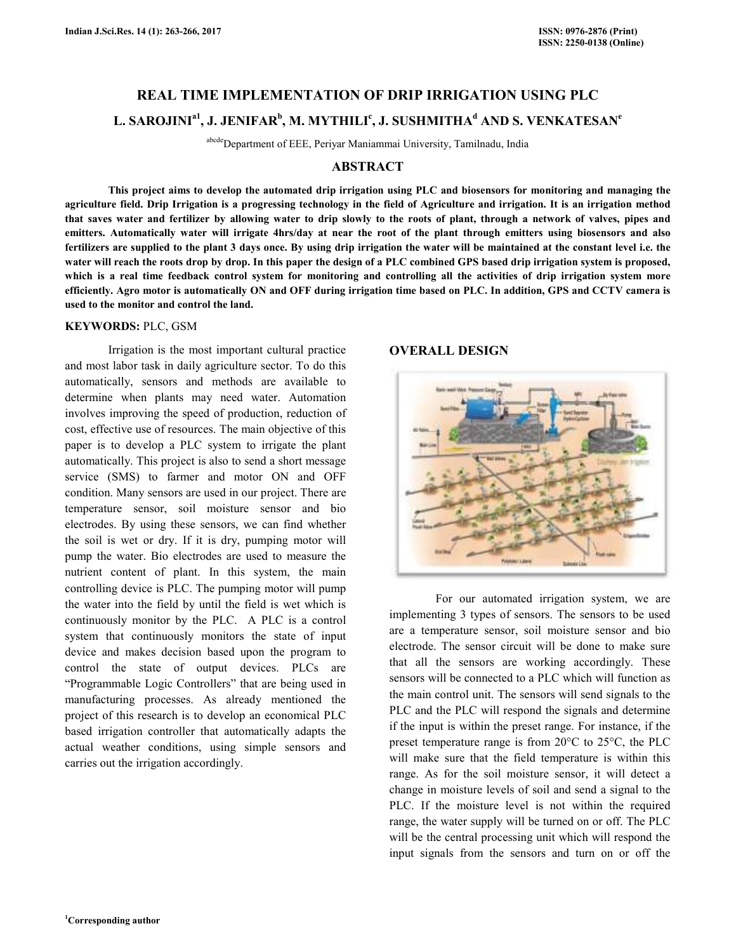# **REAL TIME IMPLEMENTATION OF DRIP IRRIGATION USING PLC**   $\mathbf{L.~SAROJINI}^\mathrm{a1}, \mathbf{J.~JENIFAR}^\mathrm{b}, \mathbf{M.~MYTHILI}^\mathrm{c}, \mathbf{J.~SUSHMITHA}^\mathrm{d}$  AND S. VENKATESAN<sup>e</sup>

abcdeDepartment of EEE, Periyar Maniammai University, Tamilnadu, India

## **ABSTRACT**

 **This project aims to develop the automated drip irrigation using PLC and biosensors for monitoring and managing the agriculture field. Drip Irrigation is a progressing technology in the field of Agriculture and irrigation. It is an irrigation method that saves water and fertilizer by allowing water to drip slowly to the roots of plant, through a network of valves, pipes and emitters. Automatically water will irrigate 4hrs/day at near the root of the plant through emitters using biosensors and also fertilizers are supplied to the plant 3 days once. By using drip irrigation the water will be maintained at the constant level i.e. the water will reach the roots drop by drop. In this paper the design of a PLC combined GPS based drip irrigation system is proposed, which is a real time feedback control system for monitoring and controlling all the activities of drip irrigation system more efficiently. Agro motor is automatically ON and OFF during irrigation time based on PLC. In addition, GPS and CCTV camera is used to the monitor and control the land.** 

#### **KEYWORDS:** PLC, GSM

 Irrigation is the most important cultural practice and most labor task in daily agriculture sector. To do this automatically, sensors and methods are available to determine when plants may need water. Automation involves improving the speed of production, reduction of cost, effective use of resources. The main objective of this paper is to develop a PLC system to irrigate the plant automatically. This project is also to send a short message service (SMS) to farmer and motor ON and OFF condition. Many sensors are used in our project. There are temperature sensor, soil moisture sensor and bio electrodes. By using these sensors, we can find whether the soil is wet or dry. If it is dry, pumping motor will pump the water. Bio electrodes are used to measure the nutrient content of plant. In this system, the main controlling device is PLC. The pumping motor will pump the water into the field by until the field is wet which is continuously monitor by the PLC. A PLC is a control system that continuously monitors the state of input device and makes decision based upon the program to control the state of output devices. PLCs are "Programmable Logic Controllers" that are being used in manufacturing processes. As already mentioned the project of this research is to develop an economical PLC based irrigation controller that automatically adapts the actual weather conditions, using simple sensors and carries out the irrigation accordingly.

# **OVERALL DESIGN**



 For our automated irrigation system, we are implementing 3 types of sensors. The sensors to be used are a temperature sensor, soil moisture sensor and bio electrode. The sensor circuit will be done to make sure that all the sensors are working accordingly. These sensors will be connected to a PLC which will function as the main control unit. The sensors will send signals to the PLC and the PLC will respond the signals and determine if the input is within the preset range. For instance, if the preset temperature range is from 20°C to 25°C, the PLC will make sure that the field temperature is within this range. As for the soil moisture sensor, it will detect a change in moisture levels of soil and send a signal to the PLC. If the moisture level is not within the required range, the water supply will be turned on or off. The PLC will be the central processing unit which will respond the input signals from the sensors and turn on or off the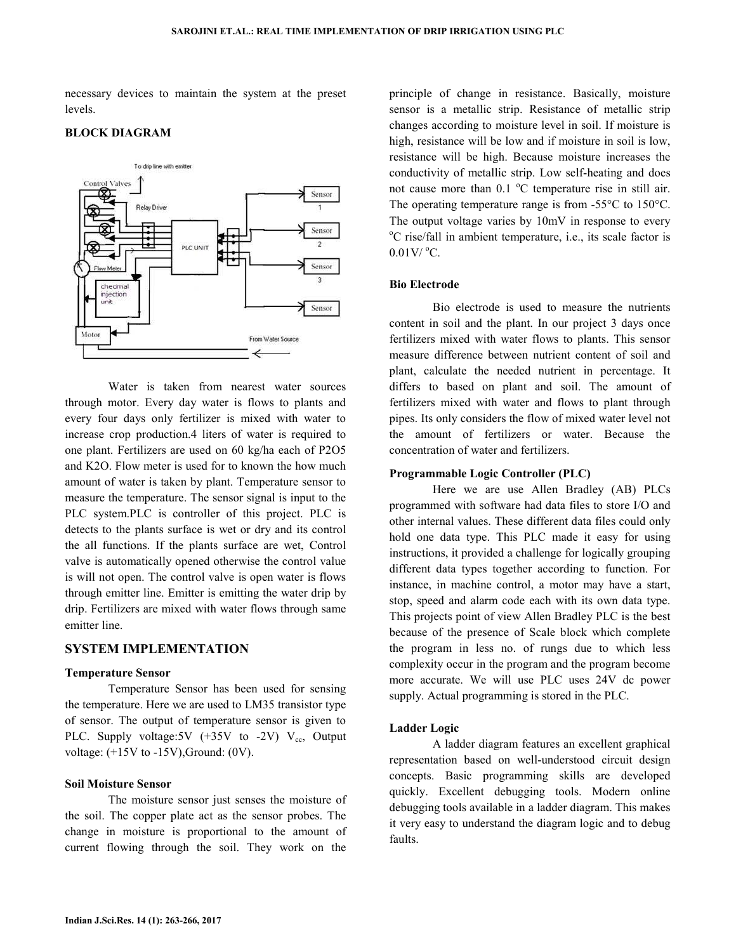necessary devices to maintain the system at the preset levels.



## **BLOCK DIAGRAM**

 Water is taken from nearest water sources through motor. Every day water is flows to plants and every four days only fertilizer is mixed with water to increase crop production.4 liters of water is required to one plant. Fertilizers are used on 60 kg/ha each of P2O5 and K2O. Flow meter is used for to known the how much amount of water is taken by plant. Temperature sensor to measure the temperature. The sensor signal is input to the PLC system.PLC is controller of this project. PLC is detects to the plants surface is wet or dry and its control the all functions. If the plants surface are wet, Control valve is automatically opened otherwise the control value is will not open. The control valve is open water is flows through emitter line. Emitter is emitting the water drip by drip. Fertilizers are mixed with water flows through same emitter line.

## **SYSTEM IMPLEMENTATION**

#### **Temperature Sensor**

 Temperature Sensor has been used for sensing the temperature. Here we are used to LM35 transistor type of sensor. The output of temperature sensor is given to PLC. Supply voltage:5V  $(+35V)$  to -2V)  $V_{cc}$ , Output voltage: (+15V to -15V),Ground: (0V).

## **Soil Moisture Sensor**

 The moisture sensor just senses the moisture of the soil. The copper plate act as the sensor probes. The change in moisture is proportional to the amount of current flowing through the soil. They work on the

principle of change in resistance. Basically, moisture sensor is a metallic strip. Resistance of metallic strip changes according to moisture level in soil. If moisture is high, resistance will be low and if moisture in soil is low, resistance will be high. Because moisture increases the conductivity of metallic strip. Low self-heating and does not cause more than  $0.1 \text{ °C}$  temperature rise in still air. The operating temperature range is from -55°C to 150°C. The output voltage varies by 10mV in response to every <sup>o</sup>C rise/fall in ambient temperature, i.e., its scale factor is  $0.01$ V/ $^{\circ}$ C.

## **Bio Electrode**

 Bio electrode is used to measure the nutrients content in soil and the plant. In our project 3 days once fertilizers mixed with water flows to plants. This sensor measure difference between nutrient content of soil and plant, calculate the needed nutrient in percentage. It differs to based on plant and soil. The amount of fertilizers mixed with water and flows to plant through pipes. Its only considers the flow of mixed water level not the amount of fertilizers or water. Because the concentration of water and fertilizers.

#### **Programmable Logic Controller (PLC)**

 Here we are use Allen Bradley (AB) PLCs programmed with software had data files to store I/O and other internal values. These different data files could only hold one data type. This PLC made it easy for using instructions, it provided a challenge for logically grouping different data types together according to function. For instance, in machine control, a motor may have a start, stop, speed and alarm code each with its own data type. This projects point of view Allen Bradley PLC is the best because of the presence of Scale block which complete the program in less no. of rungs due to which less complexity occur in the program and the program become more accurate. We will use PLC uses 24V dc power supply. Actual programming is stored in the PLC.

## **Ladder Logic**

 A ladder diagram features an excellent graphical representation based on well-understood circuit design concepts. Basic programming skills are developed quickly. Excellent debugging tools. Modern online debugging tools available in a ladder diagram. This makes it very easy to understand the diagram logic and to debug faults.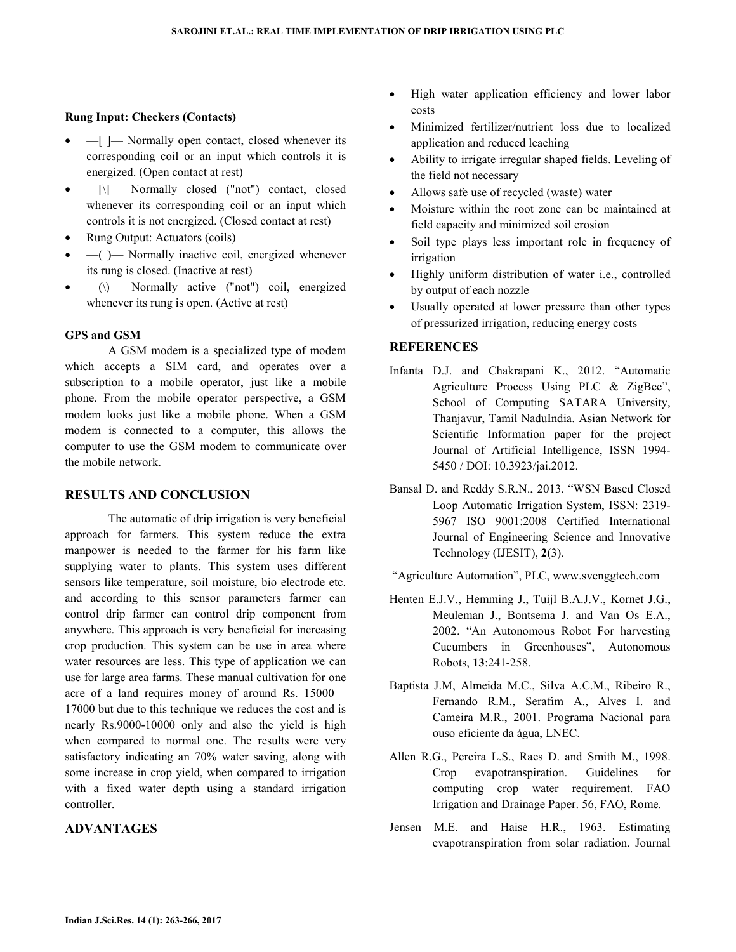## **Rung Input: Checkers (Contacts)**

- $-$ [ ]  $-$  Normally open contact, closed whenever its corresponding coil or an input which controls it is energized. (Open contact at rest)
- —[\]— Normally closed ("not") contact, closed whenever its corresponding coil or an input which controls it is not energized. (Closed contact at rest)
- Rung Output: Actuators (coils)
- $-$ ( $-$ ) Normally inactive coil, energized whenever its rung is closed. (Inactive at rest)
- $-\left(\right)$  Normally active ("not") coil, energized whenever its rung is open. (Active at rest)

### **GPS and GSM**

 A GSM modem is a specialized type of modem which accepts a SIM card, and operates over a subscription to a mobile operator, just like a mobile phone. From the mobile operator perspective, a GSM modem looks just like a mobile phone. When a GSM modem is connected to a computer, this allows the computer to use the GSM modem to communicate over the mobile network.

#### **RESULTS AND CONCLUSION**

 The automatic of drip irrigation is very beneficial approach for farmers. This system reduce the extra manpower is needed to the farmer for his farm like supplying water to plants. This system uses different sensors like temperature, soil moisture, bio electrode etc. and according to this sensor parameters farmer can control drip farmer can control drip component from anywhere. This approach is very beneficial for increasing crop production. This system can be use in area where water resources are less. This type of application we can use for large area farms. These manual cultivation for one acre of a land requires money of around Rs. 15000 – 17000 but due to this technique we reduces the cost and is nearly Rs.9000-10000 only and also the yield is high when compared to normal one. The results were very satisfactory indicating an 70% water saving, along with some increase in crop yield, when compared to irrigation with a fixed water depth using a standard irrigation controller.

## **ADVANTAGES**

- High water application efficiency and lower labor costs
- Minimized fertilizer/nutrient loss due to localized application and reduced leaching
- Ability to irrigate irregular shaped fields. Leveling of the field not necessary
- Allows safe use of recycled (waste) water
- Moisture within the root zone can be maintained at field capacity and minimized soil erosion
- Soil type plays less important role in frequency of irrigation
- Highly uniform distribution of water i.e., controlled by output of each nozzle
- Usually operated at lower pressure than other types of pressurized irrigation, reducing energy costs

## **REFERENCES**

- Infanta D.J. and Chakrapani K., 2012. "Automatic Agriculture Process Using PLC & ZigBee", School of Computing SATARA University, Thanjavur, Tamil NaduIndia. Asian Network for Scientific Information paper for the project Journal of Artificial Intelligence, ISSN 1994- 5450 / DOI: 10.3923/jai.2012.
- Bansal D. and Reddy S.R.N., 2013. "WSN Based Closed Loop Automatic Irrigation System, ISSN: 2319- 5967 ISO 9001:2008 Certified International Journal of Engineering Science and Innovative Technology (IJESIT), **2**(3).
- "Agriculture Automation", PLC, www.svenggtech.com
- Henten E.J.V., Hemming J., Tuijl B.A.J.V., Kornet J.G., Meuleman J., Bontsema J. and Van Os E.A., 2002. "An Autonomous Robot For harvesting Cucumbers in Greenhouses", Autonomous Robots, **13**:241-258.
- Baptista J.M, Almeida M.C., Silva A.C.M., Ribeiro R., Fernando R.M., Serafim A., Alves I. and Cameira M.R., 2001. Programa Nacional para ouso eficiente da água, LNEC.
- Allen R.G., Pereira L.S., Raes D. and Smith M., 1998. Crop evapotranspiration. Guidelines for computing crop water requirement. FAO Irrigation and Drainage Paper. 56, FAO, Rome.
- Jensen M.E. and Haise H.R., 1963. Estimating evapotranspiration from solar radiation. Journal